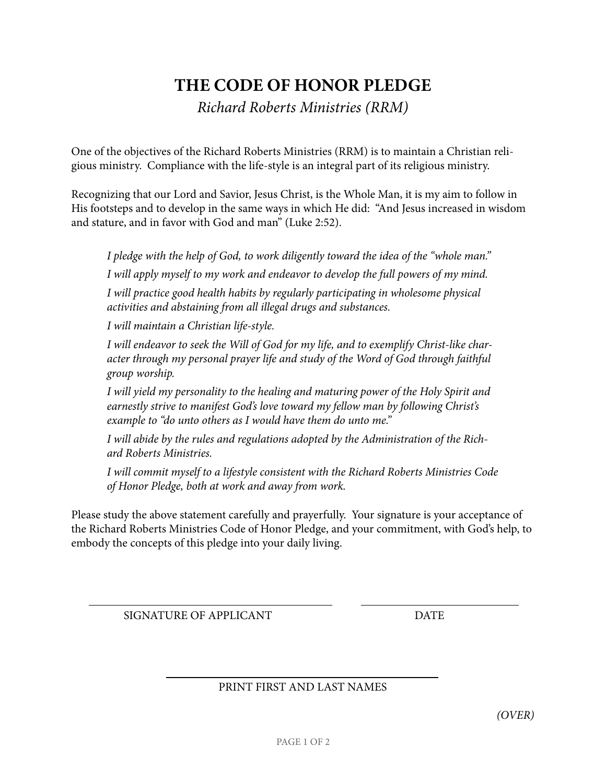## **THE CODE OF HONOR PLEDGE**

*Richard Roberts Ministries (RRM)*

One of the objectives of the Richard Roberts Ministries (RRM) is to maintain a Christian religious ministry. Compliance with the life-style is an integral part of its religious ministry.

Recognizing that our Lord and Savior, Jesus Christ, is the Whole Man, it is my aim to follow in His footsteps and to develop in the same ways in which He did: "And Jesus increased in wisdom and stature, and in favor with God and man" (Luke 2:52).

*I pledge with the help of God, to work diligently toward the idea of the "whole man." I will apply myself to my work and endeavor to develop the full powers of my mind.*

*I will practice good health habits by regularly participating in wholesome physical activities and abstaining from all illegal drugs and substances.* 

*I will maintain a Christian life-style.*

*I will endeavor to seek the Will of God for my life, and to exemplify Christ-like character through my personal prayer life and study of the Word of God through faithful group worship.*

*I will yield my personality to the healing and maturing power of the Holy Spirit and earnestly strive to manifest God's love toward my fellow man by following Christ's example to "do unto others as I would have them do unto me."*

*I will abide by the rules and regulations adopted by the Administration of the Richard Roberts Ministries.*

*I will commit myself to a lifestyle consistent with the Richard Roberts Ministries Code of Honor Pledge, both at work and away from work.*

Please study the above statement carefully and prayerfully. Your signature is your acceptance of the Richard Roberts Ministries Code of Honor Pledge, and your commitment, with God's help, to embody the concepts of this pledge into your daily living.

SIGNATURE OF APPLICANT DATE

PRINT FIRST AND LAST NAMES